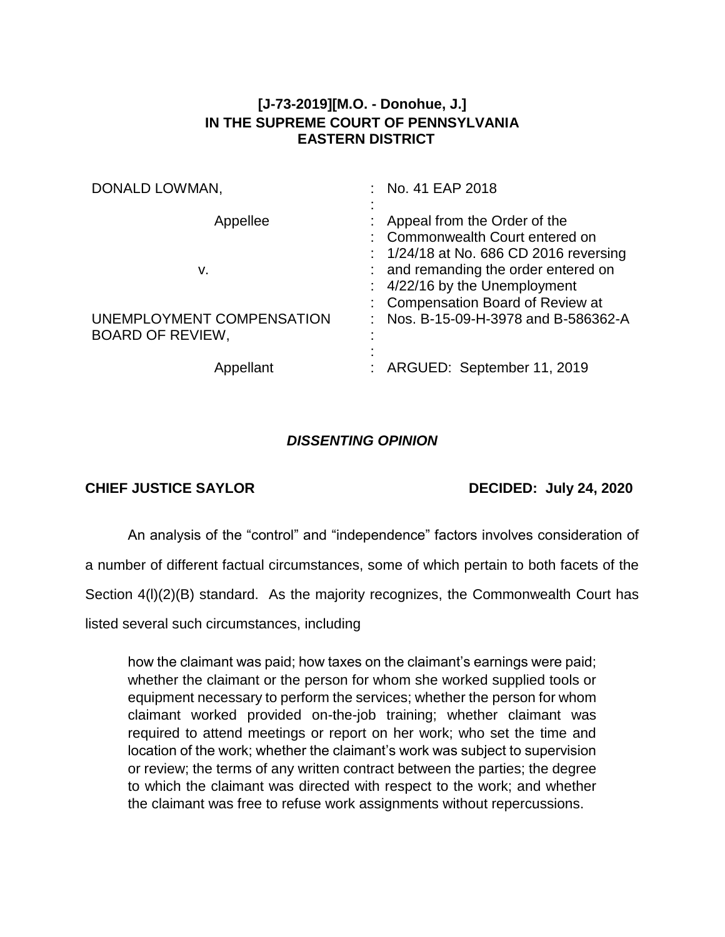## **[J-73-2019][M.O. - Donohue, J.] IN THE SUPREME COURT OF PENNSYLVANIA EASTERN DISTRICT**

| DONALD LOWMAN,                                       | : No. 41 EAP 2018                                                                                                                                                                      |
|------------------------------------------------------|----------------------------------------------------------------------------------------------------------------------------------------------------------------------------------------|
| Appellee<br>v.                                       | : Appeal from the Order of the<br>: Commonwealth Court entered on<br>$: 1/24/18$ at No. 686 CD 2016 reversing<br>: and remanding the order entered on<br>: 4/22/16 by the Unemployment |
| UNEMPLOYMENT COMPENSATION<br><b>BOARD OF REVIEW,</b> | : Compensation Board of Review at<br>Nos. B-15-09-H-3978 and B-586362-A                                                                                                                |
| Appellant                                            | ARGUED: September 11, 2019                                                                                                                                                             |

## *DISSENTING OPINION*

## **CHIEF JUSTICE SAYLOR DECIDED: July 24, 2020**

An analysis of the "control" and "independence" factors involves consideration of a number of different factual circumstances, some of which pertain to both facets of the Section 4(l)(2)(B) standard. As the majority recognizes, the Commonwealth Court has listed several such circumstances, including

how the claimant was paid; how taxes on the claimant's earnings were paid; whether the claimant or the person for whom she worked supplied tools or equipment necessary to perform the services; whether the person for whom claimant worked provided on-the-job training; whether claimant was required to attend meetings or report on her work; who set the time and location of the work; whether the claimant's work was subject to supervision or review; the terms of any written contract between the parties; the degree to which the claimant was directed with respect to the work; and whether the claimant was free to refuse work assignments without repercussions.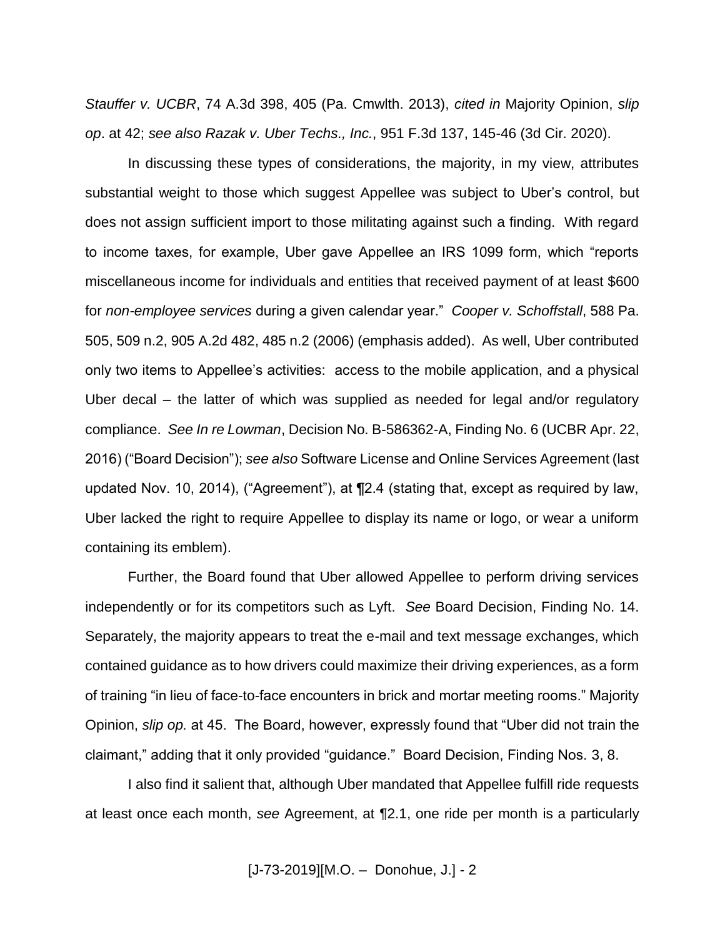*Stauffer v. UCBR*, 74 A.3d 398, 405 (Pa. Cmwlth. 2013), *cited in* Majority Opinion, *slip op*. at 42; *see also Razak v. Uber Techs., Inc.*, 951 F.3d 137, 145-46 (3d Cir. 2020).

In discussing these types of considerations, the majority, in my view, attributes substantial weight to those which suggest Appellee was subject to Uber's control, but does not assign sufficient import to those militating against such a finding. With regard to income taxes, for example, Uber gave Appellee an IRS 1099 form, which "reports miscellaneous income for individuals and entities that received payment of at least \$600 for *non-employee services* during a given calendar year." *Cooper v. Schoffstall*, 588 Pa. 505, 509 n.2, 905 A.2d 482, 485 n.2 (2006) (emphasis added). As well, Uber contributed only two items to Appellee's activities: access to the mobile application, and a physical Uber decal – the latter of which was supplied as needed for legal and/or regulatory compliance. *See In re Lowman*, Decision No. B-586362-A, Finding No. 6 (UCBR Apr. 22, 2016) ("Board Decision"); *see also* Software License and Online Services Agreement (last updated Nov. 10, 2014), ("Agreement"), at ¶2.4 (stating that, except as required by law, Uber lacked the right to require Appellee to display its name or logo, or wear a uniform containing its emblem).

Further, the Board found that Uber allowed Appellee to perform driving services independently or for its competitors such as Lyft. *See* Board Decision, Finding No. 14. Separately, the majority appears to treat the e-mail and text message exchanges, which contained guidance as to how drivers could maximize their driving experiences, as a form of training "in lieu of face-to-face encounters in brick and mortar meeting rooms." Majority Opinion, *slip op.* at 45. The Board, however, expressly found that "Uber did not train the claimant," adding that it only provided "guidance." Board Decision, Finding Nos. 3, 8.

I also find it salient that, although Uber mandated that Appellee fulfill ride requests at least once each month, *see* Agreement, at ¶2.1, one ride per month is a particularly

[J-73-2019][M.O. – Donohue, J.] - 2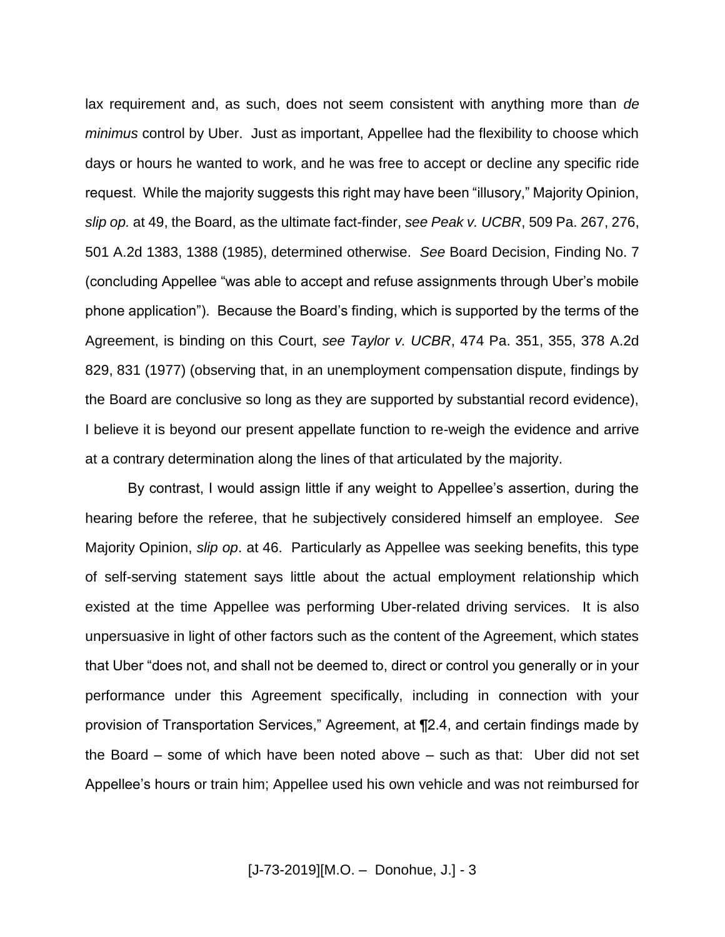lax requirement and, as such, does not seem consistent with anything more than *de minimus* control by Uber. Just as important, Appellee had the flexibility to choose which days or hours he wanted to work, and he was free to accept or decline any specific ride request. While the majority suggests this right may have been "illusory," Majority Opinion, *slip op.* at 49, the Board, as the ultimate fact-finder, *see Peak v. UCBR*, 509 Pa. 267, 276, 501 A.2d 1383, 1388 (1985), determined otherwise. *See* Board Decision, Finding No. 7 (concluding Appellee "was able to accept and refuse assignments through Uber's mobile phone application"). Because the Board's finding, which is supported by the terms of the Agreement, is binding on this Court, *see Taylor v. UCBR*, 474 Pa. 351, 355, 378 A.2d 829, 831 (1977) (observing that, in an unemployment compensation dispute, findings by the Board are conclusive so long as they are supported by substantial record evidence), I believe it is beyond our present appellate function to re-weigh the evidence and arrive at a contrary determination along the lines of that articulated by the majority.

By contrast, I would assign little if any weight to Appellee's assertion, during the hearing before the referee, that he subjectively considered himself an employee. *See* Majority Opinion, *slip op*. at 46. Particularly as Appellee was seeking benefits, this type of self-serving statement says little about the actual employment relationship which existed at the time Appellee was performing Uber-related driving services. It is also unpersuasive in light of other factors such as the content of the Agreement, which states that Uber "does not, and shall not be deemed to, direct or control you generally or in your performance under this Agreement specifically, including in connection with your provision of Transportation Services," Agreement, at ¶2.4, and certain findings made by the Board – some of which have been noted above – such as that: Uber did not set Appellee's hours or train him; Appellee used his own vehicle and was not reimbursed for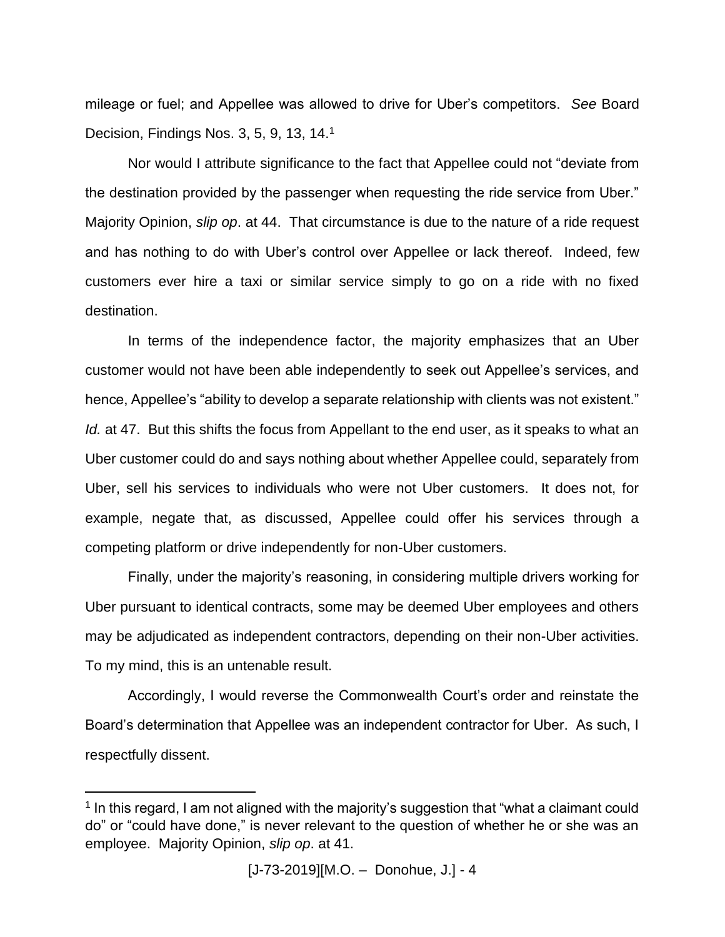mileage or fuel; and Appellee was allowed to drive for Uber's competitors. *See* Board Decision, Findings Nos. 3, 5, 9, 13, 14.<sup>1</sup>

Nor would I attribute significance to the fact that Appellee could not "deviate from the destination provided by the passenger when requesting the ride service from Uber." Majority Opinion, *slip op*. at 44. That circumstance is due to the nature of a ride request and has nothing to do with Uber's control over Appellee or lack thereof. Indeed, few customers ever hire a taxi or similar service simply to go on a ride with no fixed destination.

In terms of the independence factor, the majority emphasizes that an Uber customer would not have been able independently to seek out Appellee's services, and hence, Appellee's "ability to develop a separate relationship with clients was not existent." *Id.* at 47. But this shifts the focus from Appellant to the end user, as it speaks to what an Uber customer could do and says nothing about whether Appellee could, separately from Uber, sell his services to individuals who were not Uber customers. It does not, for example, negate that, as discussed, Appellee could offer his services through a competing platform or drive independently for non-Uber customers.

Finally, under the majority's reasoning, in considering multiple drivers working for Uber pursuant to identical contracts, some may be deemed Uber employees and others may be adjudicated as independent contractors, depending on their non-Uber activities. To my mind, this is an untenable result.

Accordingly, I would reverse the Commonwealth Court's order and reinstate the Board's determination that Appellee was an independent contractor for Uber. As such, I respectfully dissent.

 $\overline{a}$ 

<sup>&</sup>lt;sup>1</sup> In this regard, I am not aligned with the majority's suggestion that "what a claimant could do" or "could have done," is never relevant to the question of whether he or she was an employee. Majority Opinion, *slip op*. at 41.